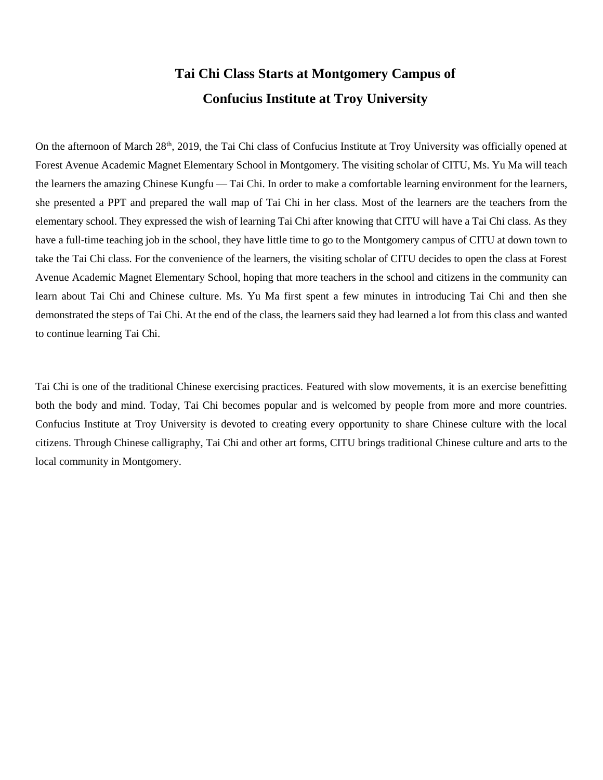## **Tai Chi Class Starts at Montgomery Campus of Confucius Institute at Troy University**

On the afternoon of March 28<sup>th</sup>, 2019, the Tai Chi class of Confucius Institute at Troy University was officially opened at Forest Avenue Academic Magnet Elementary School in Montgomery. The visiting scholar of CITU, Ms. Yu Ma will teach the learners the amazing Chinese Kungfu — Tai Chi. In order to make a comfortable learning environment for the learners, she presented a PPT and prepared the wall map of Tai Chi in her class. Most of the learners are the teachers from the elementary school. They expressed the wish of learning Tai Chi after knowing that CITU will have a Tai Chi class. As they have a full-time teaching job in the school, they have little time to go to the Montgomery campus of CITU at down town to take the Tai Chi class. For the convenience of the learners, the visiting scholar of CITU decides to open the class at Forest Avenue Academic Magnet Elementary School, hoping that more teachers in the school and citizens in the community can learn about Tai Chi and Chinese culture. Ms. Yu Ma first spent a few minutes in introducing Tai Chi and then she demonstrated the steps of Tai Chi. At the end of the class, the learners said they had learned a lot from this class and wanted to continue learning Tai Chi.

Tai Chi is one of the traditional Chinese exercising practices. Featured with slow movements, it is an exercise benefitting both the body and mind. Today, Tai Chi becomes popular and is welcomed by people from more and more countries. Confucius Institute at Troy University is devoted to creating every opportunity to share Chinese culture with the local citizens. Through Chinese calligraphy, Tai Chi and other art forms, CITU brings traditional Chinese culture and arts to the local community in Montgomery.